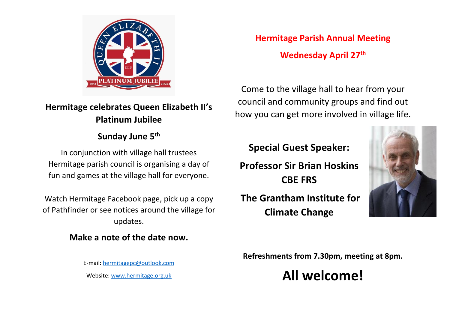

# **Hermitage celebrates Queen Elizabeth II's Platinum Jubilee**

## **Sunday June 5th**

In conjunction with village hall trustees Hermitage parish council is organising a day of fun and games at the village hall for everyone.

Watch Hermitage Facebook page, pick up a copy of Pathfinder or see notices around the village for updates.

## **Make a note of the date now.**

E-mail: [hermitagepc@outlook.com](mailto:hermitagepc@outlook.com) Website: [www.hermitage.org.uk](http://www.hermitage.org.uk/)

**Hermitage Parish Annual Meeting Wednesday April 27th**

Come to the village hall to hear from your council and community groups and find out how you can get more involved in village life.

## **Special Guest Speaker:**

**Professor Sir Brian Hoskins CBE FRS**

**The Grantham Institute for Climate Change**



**Refreshments from 7.30pm, meeting at 8pm.**

# **All welcome!**